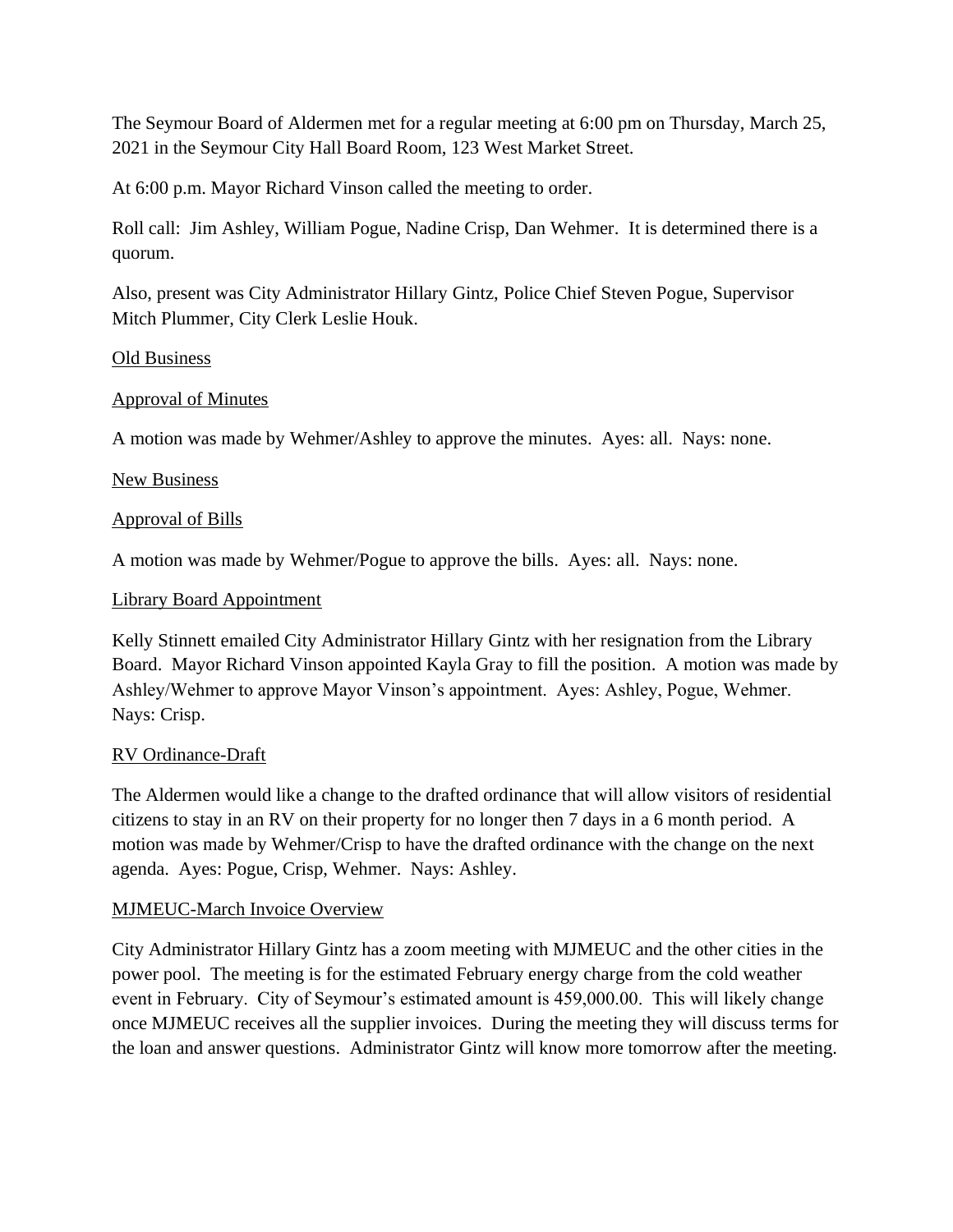The Seymour Board of Aldermen met for a regular meeting at 6:00 pm on Thursday, March 25, 2021 in the Seymour City Hall Board Room, 123 West Market Street.

At 6:00 p.m. Mayor Richard Vinson called the meeting to order.

Roll call: Jim Ashley, William Pogue, Nadine Crisp, Dan Wehmer. It is determined there is a quorum.

Also, present was City Administrator Hillary Gintz, Police Chief Steven Pogue, Supervisor Mitch Plummer, City Clerk Leslie Houk.

#### Old Business

#### Approval of Minutes

A motion was made by Wehmer/Ashley to approve the minutes. Ayes: all. Nays: none.

#### New Business

#### Approval of Bills

A motion was made by Wehmer/Pogue to approve the bills. Ayes: all. Nays: none.

#### Library Board Appointment

Kelly Stinnett emailed City Administrator Hillary Gintz with her resignation from the Library Board. Mayor Richard Vinson appointed Kayla Gray to fill the position. A motion was made by Ashley/Wehmer to approve Mayor Vinson's appointment. Ayes: Ashley, Pogue, Wehmer. Nays: Crisp.

#### RV Ordinance-Draft

The Aldermen would like a change to the drafted ordinance that will allow visitors of residential citizens to stay in an RV on their property for no longer then 7 days in a 6 month period. A motion was made by Wehmer/Crisp to have the drafted ordinance with the change on the next agenda. Ayes: Pogue, Crisp, Wehmer. Nays: Ashley.

#### MJMEUC-March Invoice Overview

City Administrator Hillary Gintz has a zoom meeting with MJMEUC and the other cities in the power pool. The meeting is for the estimated February energy charge from the cold weather event in February. City of Seymour's estimated amount is 459,000.00. This will likely change once MJMEUC receives all the supplier invoices. During the meeting they will discuss terms for the loan and answer questions. Administrator Gintz will know more tomorrow after the meeting.